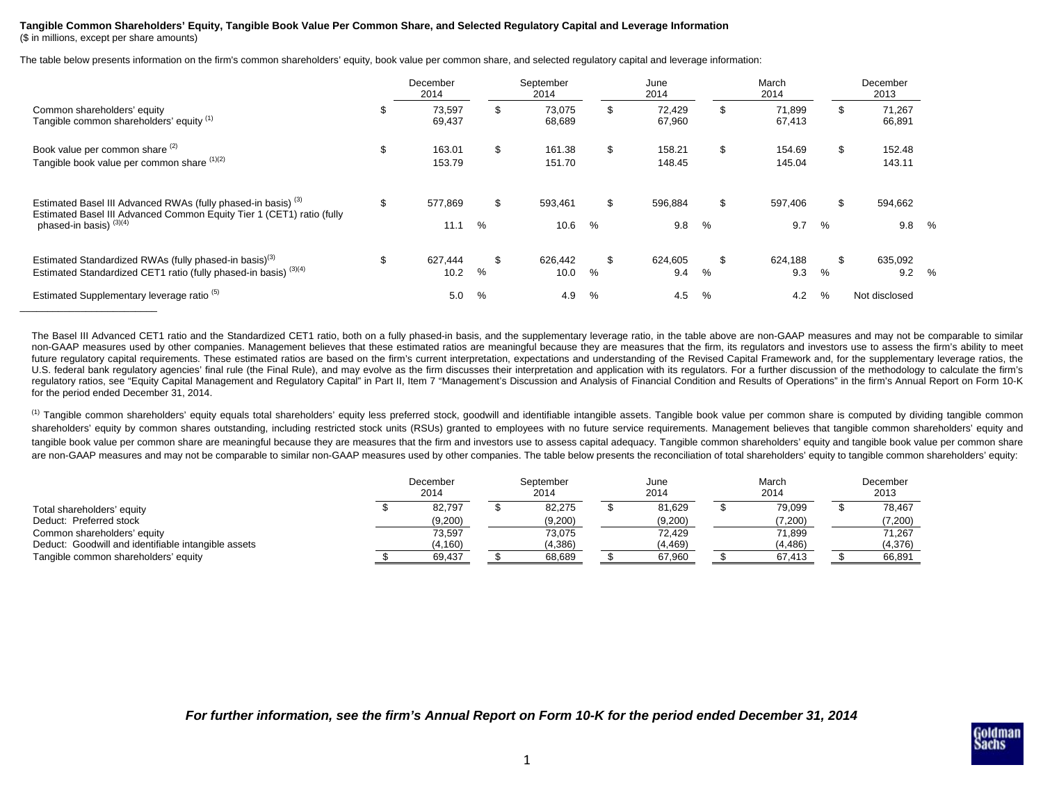## **Tangible Common Shareholders' Equity, Tangible Book Value Per Common Share, and Selected Regulatory Capital and Leverage Information**

(\$ in millions, except per share amounts)

\_\_\_\_\_\_\_\_\_\_\_\_\_\_\_\_\_\_\_\_\_\_\_\_\_

The table below presents information on the firm's common shareholders' equity, book value per common share, and selected regulatory capital and leverage information:

|                                                                                                                                                                                         |     | December<br>2014 |      | September<br>2014 |                  |      | June<br>2014           |      | March<br>2014          | December<br>2013 |                  |               |
|-----------------------------------------------------------------------------------------------------------------------------------------------------------------------------------------|-----|------------------|------|-------------------|------------------|------|------------------------|------|------------------------|------------------|------------------|---------------|
| Common shareholders' equity<br>Tangible common shareholders' equity (1)                                                                                                                 | ۰., | 73,597<br>69,437 |      | \$                | 73,075<br>68,689 |      | \$<br>72,429<br>67,960 |      | \$<br>71,899<br>67,413 | ж,               | 71,267<br>66,891 |               |
| Book value per common share (2)<br>Tangible book value per common share (1)(2)                                                                                                          | \$  | 163.01<br>153.79 |      | \$                | 161.38<br>151.70 |      | \$<br>158.21<br>148.45 |      | \$<br>154.69<br>145.04 | S                | 152.48<br>143.11 |               |
| Estimated Basel III Advanced RWAs (fully phased-in basis) <sup>(3)</sup><br>Estimated Basel III Advanced Common Equity Tier 1 (CET1) ratio (fully<br>phased-in basis) <sup>(3)(4)</sup> | \$  | 577,869<br>11.1  | $\%$ | \$                | 593,461<br>10.6  | %    | \$<br>596,884<br>9.8   | $\%$ | \$<br>597,406<br>9.7   | S<br>%           | 594,662<br>9.8   | %             |
| Estimated Standardized RWAs (fully phased-in basis) <sup>(3)</sup><br>Estimated Standardized CET1 ratio (fully phased-in basis) (3)(4)                                                  | \$. | 627,444<br>10.2  | %    | \$                | 626.442<br>10.0  | $\%$ | \$<br>624,605<br>9.4   | %    | \$<br>624,188<br>9.3   | $\%$             | 635,092<br>9.2   | $\frac{0}{c}$ |
| Estimated Supplementary leverage ratio <sup>(5)</sup>                                                                                                                                   |     | 5.0              | $\%$ |                   | 4.9              | %    | 4.5                    | $\%$ | 4.2                    | %                | Not disclosed    |               |

The Basel III Advanced CET1 ratio and the Standardized CET1 ratio, both on a fully phased-in basis, and the supplementary leverage ratio, in the table above are non-GAAP measures and may not be comparable to similar non-GAAP measures used by other companies. Management believes that these estimated ratios are meaningful because they are measures that the firm, its regulators and investors use to assess the firm's ability to meet future regulatory capital requirements. These estimated ratios are based on the firm's current interpretation, expectations and understanding of the Revised Capital Framework and, for the supplementary leverage ratios, the U.S. federal bank requlatory agencies' final rule (the Final Rule), and may evolve as the firm discusses their interpretation and application with its requlators. For a further discussion of the methodology to calculate th regulatory ratios, see "Equity Capital Management and Regulatory Capital" in Part II, Item 7 "Management's Discussion and Analysis of Financial Condition and Results of Operations" in the firm's Annual Report on Form 10-K for the period ended December 31, 2014.

<sup>(1)</sup> Tangible common shareholders' equity equals total shareholders' equity less preferred stock, goodwill and identifiable intangible assets. Tangible book value per common share is computed by dividing tangible common shareholders' equity by common shares outstanding, including restricted stock units (RSUs) granted to employees with no future service requirements. Management believes that tangible common shareholders' equity and tangible book value per common share are meaningful because they are measures that the firm and investors use to assess capital adequacy. Tangible common shareholders' equity and tangible book value per common share are non-GAAP measures and may not be comparable to similar non-GAAP measures used by other companies. The table below presents the reconciliation of total shareholders' equity to tangible common shareholders' equity:

|                                                     | December<br>2014 |  | September<br>2014 |  | June<br>2014 |  | March<br>2014 |  | December<br>2013 |  |
|-----------------------------------------------------|------------------|--|-------------------|--|--------------|--|---------------|--|------------------|--|
| Total shareholders' equity                          | 82.797           |  | 82.275            |  | 81.629       |  | 79.099        |  | 78.467           |  |
| Deduct: Preferred stock                             | (9,200)          |  | (9,200)           |  | (9,200)      |  | (7,200)       |  | (7,200)          |  |
| Common shareholders' equity                         | 73.597           |  | 73.075            |  | 72.429       |  | 71.899        |  | 71.267           |  |
| Deduct: Goodwill and identifiable intangible assets | (4,160)          |  | (4,386)           |  | (4, 469)     |  | (4, 486)      |  | (4,376)          |  |
| Tangible common shareholders' equity                | 69.437           |  | 68,689            |  | 67,960       |  | 67.413        |  | 66,891           |  |

*For further information, see the firm's Annual Report on Form 10-K for the period ended December 31, 2014*